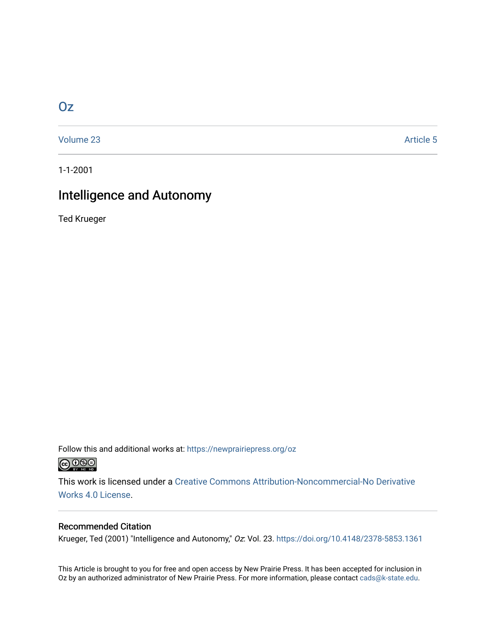# [Oz](https://newprairiepress.org/oz)

[Volume 23](https://newprairiepress.org/oz/vol23) Article 5

1-1-2001

# Intelligence and Autonomy

Ted Krueger

Follow this and additional works at: [https://newprairiepress.org/oz](https://newprairiepress.org/oz?utm_source=newprairiepress.org%2Foz%2Fvol23%2Fiss1%2F5&utm_medium=PDF&utm_campaign=PDFCoverPages) 



This work is licensed under a [Creative Commons Attribution-Noncommercial-No Derivative](https://creativecommons.org/licenses/by-nc-nd/4.0/)  [Works 4.0 License](https://creativecommons.org/licenses/by-nc-nd/4.0/).

## Recommended Citation

Krueger, Ted (2001) "Intelligence and Autonomy," Oz: Vol. 23.<https://doi.org/10.4148/2378-5853.1361>

This Article is brought to you for free and open access by New Prairie Press. It has been accepted for inclusion in Oz by an authorized administrator of New Prairie Press. For more information, please contact [cads@k-state.edu](mailto:cads@k-state.edu).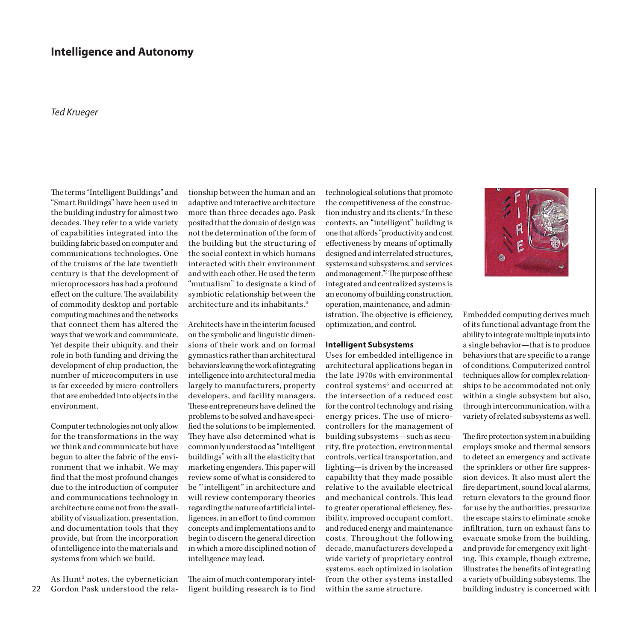# **Intelligence and Autonomy**

## *Ted Krueger*

The terms "Intelligent Buildings" and "Smart Buildings" have been used in the building industry for almost two decades. They refer to a wide variety of capabilities integrated into the building fabric based on computer and communications technologies. One of the truisms of the late twentieth century is that the development of microprocessors has had a profound effect on the culture. The availability of commodity desktop and portable computing machines and the networks that connect them has altered the ways that we work and communicate. Yet despite their ubiquity, and their role in both funding and driving the development of chip production, the number of microcomputers in use is far exceeded by micro-controllers that are embedded into objects in the environment.

Computer technologies not only allow for the transformations in the way we think and communicate but have begun to alter the fabric of the environment that we inhabit. We may find that the most profound changes due to the introduction of computer and communications technology in architecture come not from the availability of visualization, presentation, and documentation tools that they provide, but from the incorporation of intelligence into the materials and systems from which we build.

 $22$ As Hunt<sup>2</sup> notes, the cybernetician Gordon Pask understood the relationship between the human and an adaptive and interactive architecture more than three decades ago. Pask posited that the domain of design was not the determination of the form of the building but the structuring of the social context in which humans interacted with their environment and with each other. He used the term "mutualism" to designate a kind of symbiotic relationship between the architecture and its inhabitants.3

Architects have in the interim focused on the symbolic and linguistic dimensions of their work and on formal gymnastics rather than architectural behaviors leaving the work of integrating intelligence into architectural media largely to manufacturers, property developers, and facility managers. These entrepreneurs have defined the problems to be solved and have specified the solutions to be implemented. They have also determined what is commonly understood as "intelligent buildings" with all the elasticity that marketing engenders. This paper will review some of what is considered to be "'intelligent" in architecture and will review contemporary theories regarding the nature of artificial intelligences, in an effort to find common concepts and implementations and to begin to discern the general direction in which a more disciplined notion of intelligence may lead.

The aim of much contemporary intelligent building research is to find technological solutions that promote the competitiveness of the construction industry and its clients.4 In these contexts, an "intelligent" building is one that affords "productivity and cost effectiveness by means of optimally designed and interrelated structures, systems and subsystems, and services and management."5 The purpose of these integrated and centralized systems is an economy of building construction, operation, maintenance, and administration. The objective is efficiency, optimization, and control.

## **Intelligent Subsystems**

Uses for embedded intelligence in architectural applications began in the late 1970s with environmental control systems<sup>6</sup> and occurred at the intersection of a reduced cost for the control technology and rising energy prices. The use of microcontrollers for the management of building subsystems—such as security, fire protection, environmental controls, vertical transportation, and lighting—is driven by the increased capability that they made possible relative to the available electrical and mechanical controls. This lead to greater operational efficiency, flexibility, improved occupant comfort, and reduced energy and maintenance costs. Throughout the following decade, manufacturers developed a wide variety of proprietary control systems, each optimized in isolation from the other systems installed within the same structure.



Embedded computing derives much of its functional advantage from the ability to integrate multiple inputs into a single behavior—that is to produce behaviors that are specific to a range of conditions. Computerized control techniques allow for complex relationships to be accommodated not only within a single subsystem but also, through intercommunication, with a variety of related subsystems as well.

The fire protection system in a building employs smoke and thermal sensors to detect an emergency and activate the sprinklers or other fire suppression devices. It also must alert the fire department, sound local alarms, return elevators to the ground floor for use by the authorities, pressurize the escape stairs to eliminate smoke infiltration, turn on exhaust fans to evacuate smoke from the building, and provide for emergency exit lighting. This example, though extreme, illustrates the benefits of integrating a variety of building subsystems. The building industry is concerned with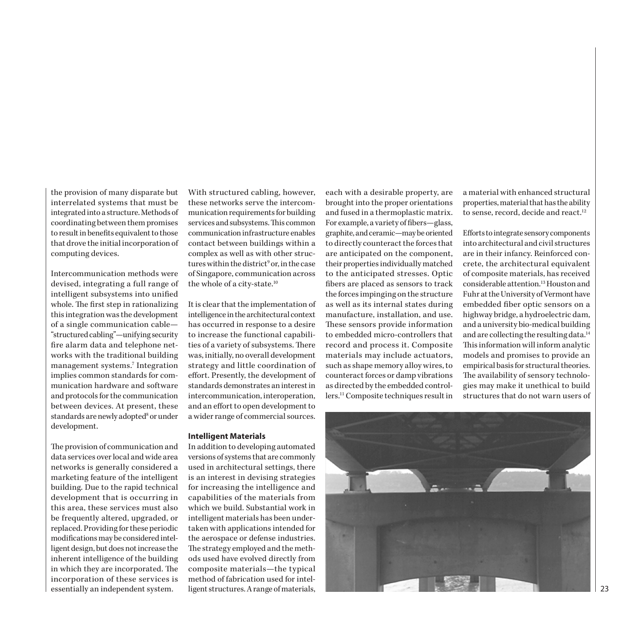the provision of many disparate but interrelated systems that must be integrated into a structure. Methods of coordinating between them promises to result in benefits equivalent to those that drove the initial incorporation of computing devices.

Intercommunication methods were devised, integrating a full range of intelligent subsystems into unified whole. The first step in rationalizing this integration was the development of a single communication cable— "structured cabling"—unifying security fire alarm data and telephone networks with the traditional building management systems.7 Integration implies common standards for communication hardware and software and protocols for the communication between devices. At present, these standards are newly adopted<sup>8</sup> or under development.

The provision of communication and data services over local and wide area networks is generally considered a marketing feature of the intelligent building. Due to the rapid technical development that is occurring in this area, these services must also be frequently altered, upgraded, or replaced. Providing for these periodic modifications may be considered intelligent design, but does not increase the inherent intelligence of the building in which they are incorporated. The incorporation of these services is essentially an independent system.

With structured cabling, however, these networks serve the intercommunication requirements for building services and subsystems. This common communication infrastructure enables contact between buildings within a complex as well as with other structures within the district<sup>9</sup> or, in the case of Singapore, communication across the whole of a city-state.10

It is clear that the implementation of intelligence in the architectural context has occurred in response to a desire to increase the functional capabilities of a variety of subsystems. There was, initially, no overall development strategy and little coordination of effort. Presently, the development of standards demonstrates an interest in intercommunication, interoperation, and an effort to open development to a wider range of commercial sources.

#### **Intelligent Materials**

In addition to developing automated versions of systems that are commonly used in architectural settings, there is an interest in devising strategies for increasing the intelligence and capabilities of the materials from which we build. Substantial work in intelligent materials has been undertaken with applications intended for the aerospace or defense industries. The strategy employed and the methods used have evolved directly from composite materials—the typical method of fabrication used for intelligent structures. A range of materials, each with a desirable property, are brought into the proper orientations and fused in a thermoplastic matrix. For example, a variety of fibers—glass, graphite, and ceramic—may be oriented to directly counteract the forces that are anticipated on the component, their properties individually matched to the anticipated stresses. Optic fibers are placed as sensors to track the forces impinging on the structure as well as its internal states during manufacture, installation, and use. These sensors provide information to embedded micro-controllers that record and process it. Composite materials may include actuators, such as shape memory alloy wires, to counteract forces or damp vibrations as directed by the embedded controllers.11 Composite techniques result in

a material with enhanced structural properties, material that has the ability to sense, record, decide and react.<sup>12</sup>

Efforts to integrate sensory components into architectural and civil structures are in their infancy. Reinforced concrete, the architectural equivalent of composite materials, has received considerable attention.13 Houston and Fuhr at the University of Vermont have embedded fiber optic sensors on a highway bridge, a hydroelectric dam, and a university bio-medical building and are collecting the resulting data.<sup>14</sup> This information will inform analytic models and promises to provide an empirical basis for structural theories. The availability of sensory technologies may make it unethical to build structures that do not warn users of

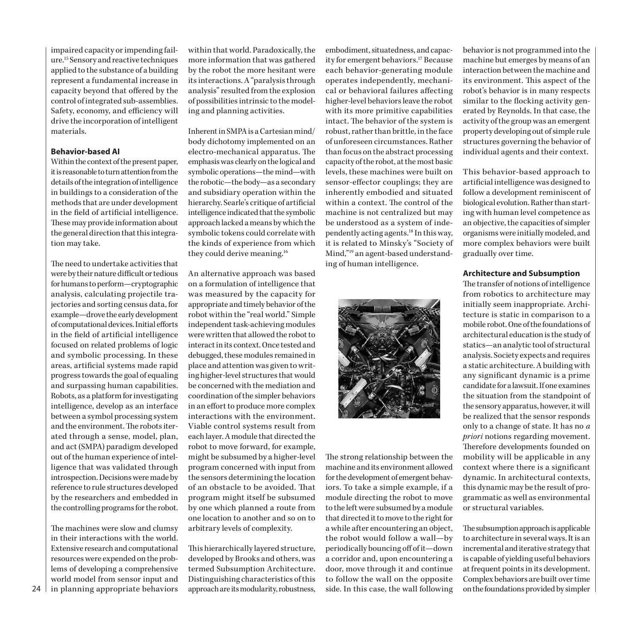impaired capacity or impending failure.15 Sensory and reactive techniques applied to the substance of a building represent a fundamental increase in capacity beyond that offered by the control of integrated sub-assemblies. Safety, economy, and efficiency will drive the incorporation of intelligent materials.

### **Behavior-based AI**

Within the context of the present paper, it is reasonable to turn attention from the details of the integration of intelligence in buildings to a consideration of the methods that are under development in the field of artificial intelligence. These may provide information about the general direction that this integration may take.

The need to undertake activities that were by their nature difficult or tedious for humans to perform—cryptographic analysis, calculating projectile trajectories and sorting census data, for example—drove the early development of computational devices. Initial efforts in the field of artificial intelligence focused on related problems of logic and symbolic processing. In these areas, artificial systems made rapid progress towards the goal of equaling and surpassing human capabilities. Robots, as a platform for investigating intelligence, develop as an interface between a symbol processing system and the environment. The robots iterated through a sense, model, plan, and act (SMPA) paradigm developed out of the human experience of intelligence that was validated through introspection. Decisions were made by reference to rule structures developed by the researchers and embedded in the controlling programs for the robot.

The machines were slow and clumsy in their interactions with the world. Extensive research and computational resources were expended on the problems of developing a comprehensive world model from sensor input and

within that world. Paradoxically, the more information that was gathered by the robot the more hesitant were its interactions. A "paralysis through analysis" resulted from the explosion of possibilities intrinsic to the modeling and planning activities.

Inherent in SMPA is a Cartesian mind/ body dichotomy implemented on an electro-mechanical apparatus. The emphasis was clearly on the logical and symbolic operations—the mind—with the robotic—the body—as a secondary and subsidiary operation within the hierarchy. Searle's critique of artificial intelligence indicated that the symbolic approach lacked a means by which the symbolic tokens could correlate with the kinds of experience from which they could derive meaning.<sup>16</sup>

An alternative approach was based on a formulation of intelligence that was measured by the capacity for appropriate and timely behavior of the robot within the "real world." Simple independent task-achieving modules were written that allowed the robot to interact in its context. Once tested and debugged, these modules remained in place and attention was given to writing higher-level structures that would be concerned with the mediation and coordination of the simpler behaviors in an effort to produce more complex interactions with the environment. Viable control systems result from each layer. A module that directed the robot to move forward, for example, might be subsumed by a higher-level program concerned with input from the sensors determining the location of an obstacle to be avoided. That program might itself be subsumed by one which planned a route from one location to another and so on to arbitrary levels of complexity.

This hierarchically layered structure, developed by Brooks and others, was termed Subsumption Architecture. Distinguishing characteristics of this approach are its modularity, robustness, embodiment, situatedness, and capacity for emergent behaviors.<sup>17</sup> Because each behavior-generating module operates independently, mechanical or behavioral failures affecting higher-level behaviors leave the robot with its more primitive capabilities intact. The behavior of the system is robust, rather than brittle, in the face of unforeseen circumstances. Rather than focus on the abstract processing capacity of the robot, at the most basic levels, these machines were built on sensor-effector couplings; they are inherently embodied and situated within a context. The control of the machine is not centralized but may be understood as a system of independently acting agents.18 In this way, it is related to Minsky's "Society of Mind,"19 an agent-based understanding of human intelligence.



The strong relationship between the machine and its environment allowed for the development of emergent behaviors. To take a simple example, if a module directing the robot to move to the left were subsumed by a module that directed it to move to the right for a while after encountering an object, the robot would follow a wall—by periodically bouncing off of it—down a corridor and, upon encountering a door, move through it and continue to follow the wall on the opposite side. In this case, the wall following

behavior is not programmed into the machine but emerges by means of an interaction between the machine and its environment. This aspect of the robot's behavior is in many respects similar to the flocking activity generated by Reynolds. In that case, the activity of the group was an emergent property developing out of simple rule structures governing the behavior of individual agents and their context.

This behavior-based approach to artificial intelligence was designed to follow a development reminiscent of biological evolution. Rather than starting with human level competence as an objective, the capacities of simpler organisms were initially modeled, and more complex behaviors were built gradually over time.

#### **Architecture and Subsumption**

The transfer of notions of intelligence from robotics to architecture may initially seem inappropriate. Architecture is static in comparison to a mobile robot. One of the foundations of architectural education is the study of statics—an analytic tool of structural analysis. Society expects and requires a static architecture. A building with any significant dynamic is a prime candidate for a lawsuit. If one examines the situation from the standpoint of the sensory apparatus, however, it will be realized that the sensor responds only to a change of state. It has no *a priori* notions regarding movement. Therefore developments founded on mobility will be applicable in any context where there is a significant dynamic. In architectural contexts, this dynamic may be the result of programmatic as well as environmental or structural variables.

The subsumption approach is applicable to architecture in several ways. It is an incremental and iterative strategy that is capable of yielding useful behaviors at frequent points in its development. Complex behaviors are built over time on the foundations provided by simpler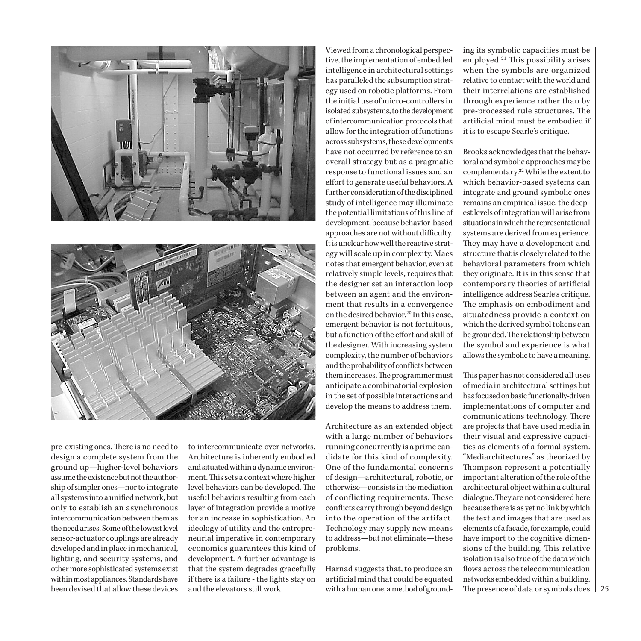



pre-existing ones. There is no need to design a complete system from the ground up—higher-level behaviors assume the existence but not the authorship of simpler ones—nor to integrate all systems into a unified network, but only to establish an asynchronous intercommunication between them as the need arises. Some of the lowest level sensor-actuator couplings are already developed and in place in mechanical, lighting, and security systems, and other more sophisticated systems exist within most appliances. Standards have been devised that allow these devices to intercommunicate over networks. Architecture is inherently embodied and situated within a dynamic environment. This sets a context where higher level behaviors can be developed. The useful behaviors resulting from each layer of integration provide a motive for an increase in sophistication. An ideology of utility and the entrepreneurial imperative in contemporary economics guarantees this kind of development. A further advantage is that the system degrades gracefully if there is a failure - the lights stay on and the elevators still work.

Viewed from a chronological perspective, the implementation of embedded intelligence in architectural settings has paralleled the subsumption strategy used on robotic platforms. From the initial use of micro-controllers in isolated subsystems, to the development of intercommunication protocols that allow for the integration of functions across subsystems, these developments have not occurred by reference to an overall strategy but as a pragmatic response to functional issues and an effort to generate useful behaviors. A further consideration of the disciplined study of intelligence may illuminate the potential limitations of this line of development, because behavior-based approaches are not without difficulty. It is unclear how well the reactive strategy will scale up in complexity. Maes notes that emergent behavior, even at relatively simple levels, requires that the designer set an interaction loop between an agent and the environment that results in a convergence on the desired behavior.<sup>20</sup> In this case, emergent behavior is not fortuitous, but a function of the effort and skill of the designer. With increasing system complexity, the number of behaviors and the probability of conflicts between them increases. The programmer must anticipate a combinatorial explosion in the set of possible interactions and develop the means to address them.

Architecture as an extended object with a large number of behaviors running concurrently is a prime candidate for this kind of complexity. One of the fundamental concerns of design—architectural, robotic, or otherwise—consists in the mediation of conflicting requirements. These conflicts carry through beyond design into the operation of the artifact. Technology may supply new means to address—but not eliminate—these problems.

Harnad suggests that, to produce an artificial mind that could be equated with a human one, a method of ground-

ing its symbolic capacities must be employed.21 This possibility arises when the symbols are organized relative to contact with the world and their interrelations are established through experience rather than by pre-processed rule structures. The artificial mind must be embodied if it is to escape Searle's critique.

Brooks acknowledges that the behavioral and symbolic approaches may be complementary.<sup>22</sup> While the extent to which behavior-based systems can integrate and ground symbolic ones remains an empirical issue, the deepest levels of integration will arise from situations in which the representational systems are derived from experience. They may have a development and structure that is closely related to the behavioral parameters from which they originate. It is in this sense that contemporary theories of artificial intelligence address Searle's critique. The emphasis on embodiment and situatedness provide a context on which the derived symbol tokens can be grounded. The relationship between the symbol and experience is what allows the symbolic to have a meaning.

The presence of data or symbols does  $\,$  25  $\,$ This paper has not considered all uses of media in architectural settings but has focused on basic functionally-driven implementations of computer and communications technology. There are projects that have used media in their visual and expressive capacities as elements of a formal system. "Mediarchitectures" as theorized by Thompson represent a potentially important alteration of the role of the architectural object within a cultural dialogue. They are not considered here because there is as yet no link by which the text and images that are used as elements of a facade, for example, could have import to the cognitive dimensions of the building. This relative isolation is also true of the data which flows across the telecommunication networks embedded within a building.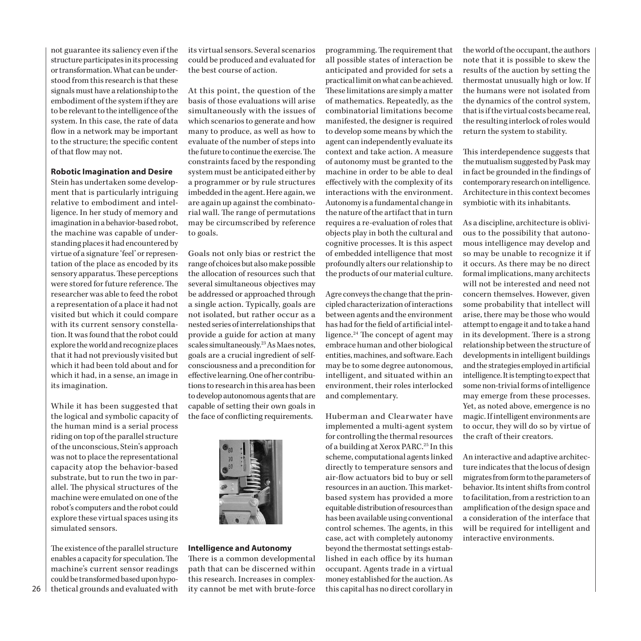not guarantee its saliency even if the structure participates in its processing or transformation. What can be understood from this research is that these signals must have a relationship to the embodiment of the system if they are to be relevant to the intelligence of the system. In this case, the rate of data flow in a network may be important to the structure; the specific content of that flow may not.

### **Robotic Imagination and Desire**

Stein has undertaken some development that is particularly intriguing relative to embodiment and intelligence. In her study of memory and imagination in a behavior-based robot, the machine was capable of understanding places it had encountered by virtue of a signature 'feel' or representation of the place as encoded by its sensory apparatus. These perceptions were stored for future reference. The researcher was able to feed the robot a representation of a place it had not visited but which it could compare with its current sensory constellation. It was found that the robot could explore the world and recognize places that it had not previously visited but which it had been told about and for which it had, in a sense, an image in its imagination.

While it has been suggested that the logical and symbolic capacity of the human mind is a serial process riding on top of the parallel structure of the unconscious, Stein's approach was not to place the representational capacity atop the behavior-based substrate, but to run the two in parallel. The physical structures of the machine were emulated on one of the robot's computers and the robot could explore these virtual spaces using its simulated sensors.

The existence of the parallel structure enables a capacity for speculation. The machine's current sensor readings could be transformed based upon hypo-

26 thetical grounds and evaluated with its virtual sensors. Several scenarios could be produced and evaluated for the best course of action.

At this point, the question of the basis of those evaluations will arise simultaneously with the issues of which scenarios to generate and how many to produce, as well as how to evaluate of the number of steps into the future to continue the exercise. The constraints faced by the responding system must be anticipated either by a programmer or by rule structures imbedded in the agent. Here again, we are again up against the combinatorial wall. The range of permutations may be circumscribed by reference to goals.

Goals not only bias or restrict the range of choices but also make possible the allocation of resources such that several simultaneous objectives may be addressed or approached through a single action. Typically, goals are not isolated, but rather occur as a nested series of interrelationships that provide a guide for action at many scales simultaneously.<sup>23</sup> As Maes notes, goals are a crucial ingredient of selfconsciousness and a precondition for effective learning. One of her contributions to research in this area has been to develop autonomous agents that are capable of setting their own goals in the face of conflicting requirements.



#### **Intelligence and Autonomy**

There is a common developmental path that can be discerned within this research. Increases in complexity cannot be met with brute-force programming. The requirement that all possible states of interaction be anticipated and provided for sets a practical limit on what can be achieved. These limitations are simply a matter of mathematics. Repeatedly, as the combinatorial limitations become manifested, the designer is required to develop some means by which the agent can independently evaluate its context and take action. A measure of autonomy must be granted to the machine in order to be able to deal effectively with the complexity of its interactions with the environment. Autonomy is a fundamental change in the nature of the artifact that in turn requires a re-evaluation of roles that objects play in both the cultural and cognitive processes. It is this aspect of embedded intelligence that most profoundly alters our relationship to the products of our material culture.

Agre conveys the change that the principled characterization of interactions between agents and the environment has had for the field of artificial intelligence.<sup>24</sup> The concept of agent may embrace human and other biological entities, machines, and software. Each may be to some degree autonomous, intelligent, and situated within an environment, their roles interlocked and complementary.

Huberman and Clearwater have implemented a multi-agent system for controlling the thermal resources of a building at Xerox PARC.<sup>25</sup> In this scheme, computational agents linked directly to temperature sensors and air-flow actuators bid to buy or sell resources in an auction. This marketbased system has provided a more equitable distribution of resources than has been available using conventional control schemes. The agents, in this case, act with completely autonomy beyond the thermostat settings established in each office by its human occupant. Agents trade in a virtual money established for the auction. As this capital has no direct corollary in

the world of the occupant, the authors note that it is possible to skew the results of the auction by setting the thermostat unusually high or low. If the humans were not isolated from the dynamics of the control system, that is if the virtual costs became real, the resulting interlock of roles would return the system to stability.

This interdependence suggests that the mutualism suggested by Pask may in fact be grounded in the findings of contemporary research on intelligence. Architecture in this context becomes symbiotic with its inhabitants.

As a discipline, architecture is oblivious to the possibility that autonomous intelligence may develop and so may be unable to recognize it if it occurs. As there may be no direct formal implications, many architects will not be interested and need not concern themselves. However, given some probability that intellect will arise, there may be those who would attempt to engage it and to take a hand in its development. There is a strong relationship between the structure of developments in intelligent buildings and the strategies employed in artificial intelligence. It is tempting to expect that some non-trivial forms of intelligence may emerge from these processes. Yet, as noted above, emergence is no magic. If intelligent environments are to occur, they will do so by virtue of the craft of their creators.

An interactive and adaptive architecture indicates that the locus of design migrates from form to the parameters of behavior. Its intent shifts from control to facilitation, from a restriction to an amplification of the design space and a consideration of the interface that will be required for intelligent and interactive environments.